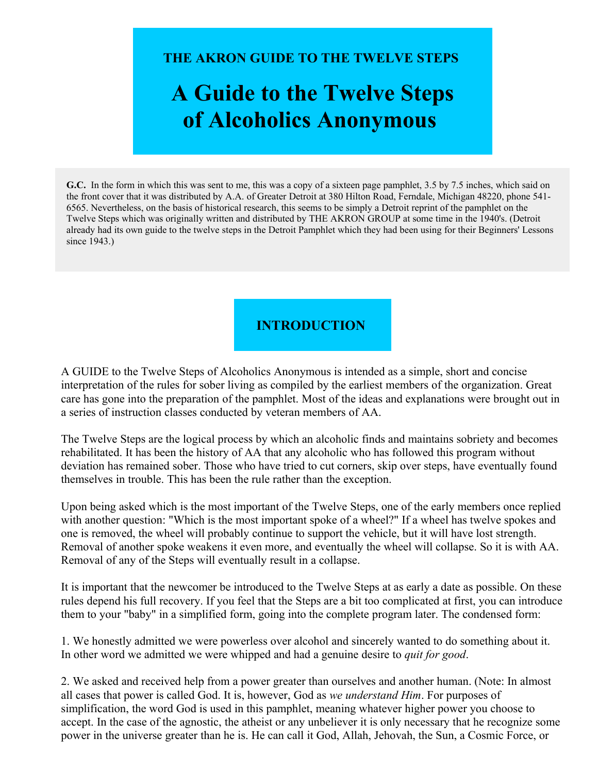## **THE AKRON GUIDE TO THE TWELVE STEPS**

# **A Guide to the Twelve Steps of Alcoholics Anonymous**

**G.C.** In the form in which this was sent to me, this was a copy of a sixteen page pamphlet, 3.5 by 7.5 inches, which said on the front cover that it was distributed by A.A. of Greater Detroit at 380 Hilton Road, Ferndale, Michigan 48220, phone 541- 6565. Nevertheless, on the basis of historical research, this seems to be simply a Detroit reprint of the pamphlet on the Twelve Steps which was originally written and distributed by THE AKRON GROUP at some time in the 1940's. (Detroit already had its own guide to the twelve steps in the Detroit Pamphlet which they had been using for their Beginners' Lessons since 1943.)

## **INTRODUCTION**

A GUIDE to the Twelve Steps of Alcoholics Anonymous is intended as a simple, short and concise interpretation of the rules for sober living as compiled by the earliest members of the organization. Great care has gone into the preparation of the pamphlet. Most of the ideas and explanations were brought out in a series of instruction classes conducted by veteran members of AA.

The Twelve Steps are the logical process by which an alcoholic finds and maintains sobriety and becomes rehabilitated. It has been the history of AA that any alcoholic who has followed this program without deviation has remained sober. Those who have tried to cut corners, skip over steps, have eventually found themselves in trouble. This has been the rule rather than the exception.

Upon being asked which is the most important of the Twelve Steps, one of the early members once replied with another question: "Which is the most important spoke of a wheel?" If a wheel has twelve spokes and one is removed, the wheel will probably continue to support the vehicle, but it will have lost strength. Removal of another spoke weakens it even more, and eventually the wheel will collapse. So it is with AA. Removal of any of the Steps will eventually result in a collapse.

It is important that the newcomer be introduced to the Twelve Steps at as early a date as possible. On these rules depend his full recovery. If you feel that the Steps are a bit too complicated at first, you can introduce them to your "baby" in a simplified form, going into the complete program later. The condensed form:

1. We honestly admitted we were powerless over alcohol and sincerely wanted to do something about it. In other word we admitted we were whipped and had a genuine desire to *quit for good*.

2. We asked and received help from a power greater than ourselves and another human. (Note: In almost all cases that power is called God. It is, however, God as *we understand Him*. For purposes of simplification, the word God is used in this pamphlet, meaning whatever higher power you choose to accept. In the case of the agnostic, the atheist or any unbeliever it is only necessary that he recognize some power in the universe greater than he is. He can call it God, Allah, Jehovah, the Sun, a Cosmic Force, or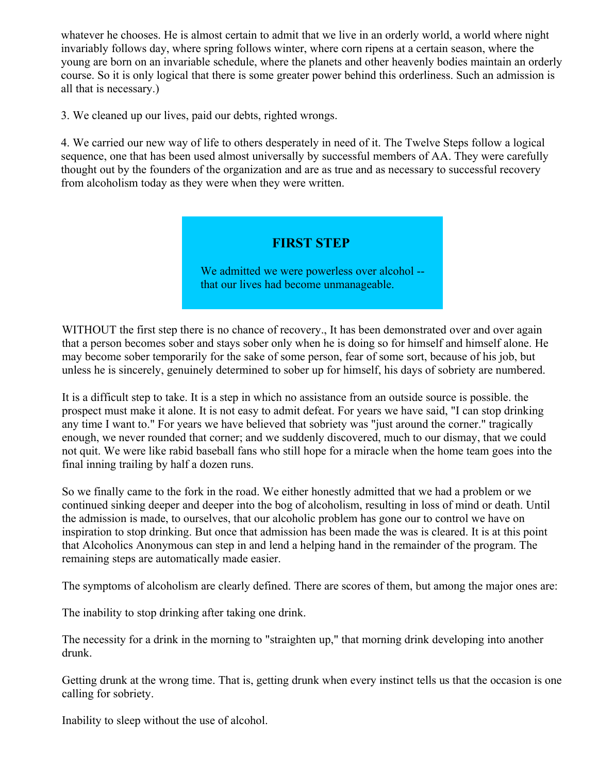whatever he chooses. He is almost certain to admit that we live in an orderly world, a world where night invariably follows day, where spring follows winter, where corn ripens at a certain season, where the young are born on an invariable schedule, where the planets and other heavenly bodies maintain an orderly course. So it is only logical that there is some greater power behind this orderliness. Such an admission is all that is necessary.)

3. We cleaned up our lives, paid our debts, righted wrongs.

4. We carried our new way of life to others desperately in need of it. The Twelve Steps follow a logical sequence, one that has been used almost universally by successful members of AA. They were carefully thought out by the founders of the organization and are as true and as necessary to successful recovery from alcoholism today as they were when they were written.

#### **FIRST STEP**

We admitted we were powerless over alcohol -that our lives had become unmanageable.

WITHOUT the first step there is no chance of recovery., It has been demonstrated over and over again that a person becomes sober and stays sober only when he is doing so for himself and himself alone. He may become sober temporarily for the sake of some person, fear of some sort, because of his job, but unless he is sincerely, genuinely determined to sober up for himself, his days of sobriety are numbered.

It is a difficult step to take. It is a step in which no assistance from an outside source is possible. the prospect must make it alone. It is not easy to admit defeat. For years we have said, "I can stop drinking any time I want to." For years we have believed that sobriety was "just around the corner." tragically enough, we never rounded that corner; and we suddenly discovered, much to our dismay, that we could not quit. We were like rabid baseball fans who still hope for a miracle when the home team goes into the final inning trailing by half a dozen runs.

So we finally came to the fork in the road. We either honestly admitted that we had a problem or we continued sinking deeper and deeper into the bog of alcoholism, resulting in loss of mind or death. Until the admission is made, to ourselves, that our alcoholic problem has gone our to control we have on inspiration to stop drinking. But once that admission has been made the was is cleared. It is at this point that Alcoholics Anonymous can step in and lend a helping hand in the remainder of the program. The remaining steps are automatically made easier.

The symptoms of alcoholism are clearly defined. There are scores of them, but among the major ones are:

The inability to stop drinking after taking one drink.

The necessity for a drink in the morning to "straighten up," that morning drink developing into another drunk.

Getting drunk at the wrong time. That is, getting drunk when every instinct tells us that the occasion is one calling for sobriety.

Inability to sleep without the use of alcohol.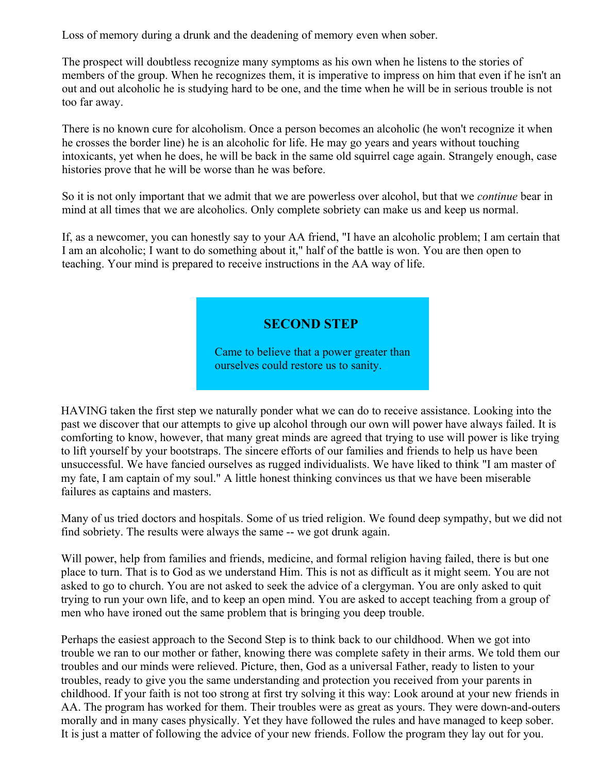Loss of memory during a drunk and the deadening of memory even when sober.

The prospect will doubtless recognize many symptoms as his own when he listens to the stories of members of the group. When he recognizes them, it is imperative to impress on him that even if he isn't an out and out alcoholic he is studying hard to be one, and the time when he will be in serious trouble is not too far away.

There is no known cure for alcoholism. Once a person becomes an alcoholic (he won't recognize it when he crosses the border line) he is an alcoholic for life. He may go years and years without touching intoxicants, yet when he does, he will be back in the same old squirrel cage again. Strangely enough, case histories prove that he will be worse than he was before.

So it is not only important that we admit that we are powerless over alcohol, but that we *continue* bear in mind at all times that we are alcoholics. Only complete sobriety can make us and keep us normal.

If, as a newcomer, you can honestly say to your AA friend, "I have an alcoholic problem; I am certain that I am an alcoholic; I want to do something about it," half of the battle is won. You are then open to teaching. Your mind is prepared to receive instructions in the AA way of life.

## **SECOND STEP**

Came to believe that a power greater than ourselves could restore us to sanity.

HAVING taken the first step we naturally ponder what we can do to receive assistance. Looking into the past we discover that our attempts to give up alcohol through our own will power have always failed. It is comforting to know, however, that many great minds are agreed that trying to use will power is like trying to lift yourself by your bootstraps. The sincere efforts of our families and friends to help us have been unsuccessful. We have fancied ourselves as rugged individualists. We have liked to think "I am master of my fate, I am captain of my soul." A little honest thinking convinces us that we have been miserable failures as captains and masters.

Many of us tried doctors and hospitals. Some of us tried religion. We found deep sympathy, but we did not find sobriety. The results were always the same -- we got drunk again.

Will power, help from families and friends, medicine, and formal religion having failed, there is but one place to turn. That is to God as we understand Him. This is not as difficult as it might seem. You are not asked to go to church. You are not asked to seek the advice of a clergyman. You are only asked to quit trying to run your own life, and to keep an open mind. You are asked to accept teaching from a group of men who have ironed out the same problem that is bringing you deep trouble.

Perhaps the easiest approach to the Second Step is to think back to our childhood. When we got into trouble we ran to our mother or father, knowing there was complete safety in their arms. We told them our troubles and our minds were relieved. Picture, then, God as a universal Father, ready to listen to your troubles, ready to give you the same understanding and protection you received from your parents in childhood. If your faith is not too strong at first try solving it this way: Look around at your new friends in AA. The program has worked for them. Their troubles were as great as yours. They were down-and-outers morally and in many cases physically. Yet they have followed the rules and have managed to keep sober. It is just a matter of following the advice of your new friends. Follow the program they lay out for you.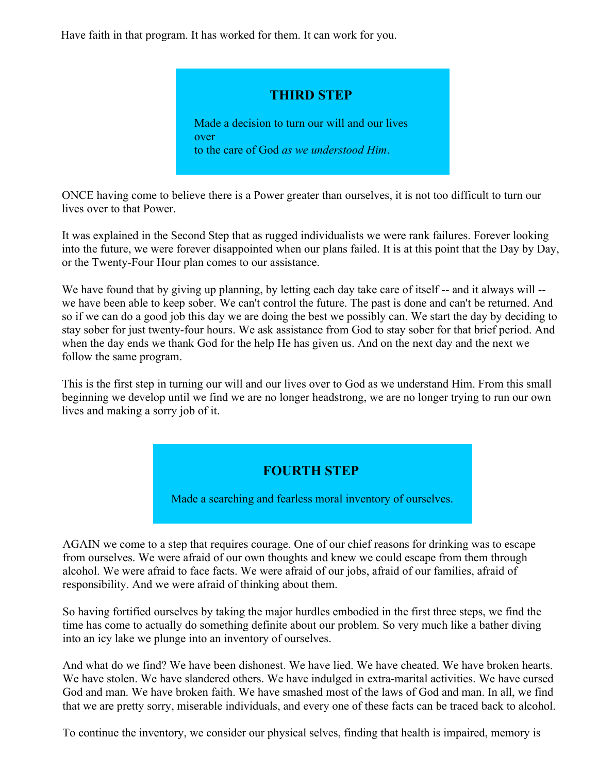Have faith in that program. It has worked for them. It can work for you.

# **THIRD STEP**

Made a decision to turn our will and our lives over to the care of God *as we understood Him*.

ONCE having come to believe there is a Power greater than ourselves, it is not too difficult to turn our lives over to that Power.

It was explained in the Second Step that as rugged individualists we were rank failures. Forever looking into the future, we were forever disappointed when our plans failed. It is at this point that the Day by Day, or the Twenty-Four Hour plan comes to our assistance.

We have found that by giving up planning, by letting each day take care of itself -- and it always will -we have been able to keep sober. We can't control the future. The past is done and can't be returned. And so if we can do a good job this day we are doing the best we possibly can. We start the day by deciding to stay sober for just twenty-four hours. We ask assistance from God to stay sober for that brief period. And when the day ends we thank God for the help He has given us. And on the next day and the next we follow the same program.

This is the first step in turning our will and our lives over to God as we understand Him. From this small beginning we develop until we find we are no longer headstrong, we are no longer trying to run our own lives and making a sorry job of it.

# **FOURTH STEP**

Made a searching and fearless moral inventory of ourselves.

AGAIN we come to a step that requires courage. One of our chief reasons for drinking was to escape from ourselves. We were afraid of our own thoughts and knew we could escape from them through alcohol. We were afraid to face facts. We were afraid of our jobs, afraid of our families, afraid of responsibility. And we were afraid of thinking about them.

So having fortified ourselves by taking the major hurdles embodied in the first three steps, we find the time has come to actually do something definite about our problem. So very much like a bather diving into an icy lake we plunge into an inventory of ourselves.

And what do we find? We have been dishonest. We have lied. We have cheated. We have broken hearts. We have stolen. We have slandered others. We have indulged in extra-marital activities. We have cursed God and man. We have broken faith. We have smashed most of the laws of God and man. In all, we find that we are pretty sorry, miserable individuals, and every one of these facts can be traced back to alcohol.

To continue the inventory, we consider our physical selves, finding that health is impaired, memory is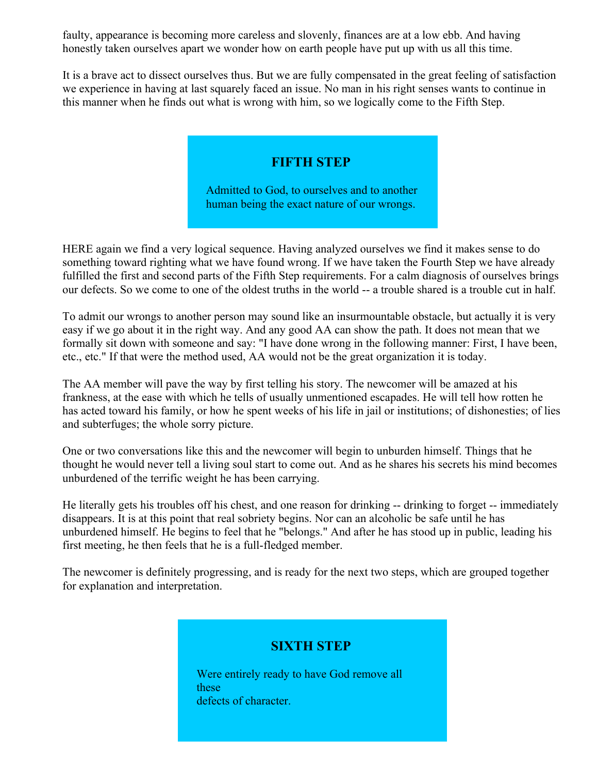faulty, appearance is becoming more careless and slovenly, finances are at a low ebb. And having honestly taken ourselves apart we wonder how on earth people have put up with us all this time.

It is a brave act to dissect ourselves thus. But we are fully compensated in the great feeling of satisfaction we experience in having at last squarely faced an issue. No man in his right senses wants to continue in this manner when he finds out what is wrong with him, so we logically come to the Fifth Step.

#### **FIFTH STEP**

Admitted to God, to ourselves and to another human being the exact nature of our wrongs.

HERE again we find a very logical sequence. Having analyzed ourselves we find it makes sense to do something toward righting what we have found wrong. If we have taken the Fourth Step we have already fulfilled the first and second parts of the Fifth Step requirements. For a calm diagnosis of ourselves brings our defects. So we come to one of the oldest truths in the world -- a trouble shared is a trouble cut in half.

To admit our wrongs to another person may sound like an insurmountable obstacle, but actually it is very easy if we go about it in the right way. And any good AA can show the path. It does not mean that we formally sit down with someone and say: "I have done wrong in the following manner: First, I have been, etc., etc." If that were the method used, AA would not be the great organization it is today.

The AA member will pave the way by first telling his story. The newcomer will be amazed at his frankness, at the ease with which he tells of usually unmentioned escapades. He will tell how rotten he has acted toward his family, or how he spent weeks of his life in jail or institutions; of dishonesties; of lies and subterfuges; the whole sorry picture.

One or two conversations like this and the newcomer will begin to unburden himself. Things that he thought he would never tell a living soul start to come out. And as he shares his secrets his mind becomes unburdened of the terrific weight he has been carrying.

He literally gets his troubles off his chest, and one reason for drinking -- drinking to forget -- immediately disappears. It is at this point that real sobriety begins. Nor can an alcoholic be safe until he has unburdened himself. He begins to feel that he "belongs." And after he has stood up in public, leading his first meeting, he then feels that he is a full-fledged member.

The newcomer is definitely progressing, and is ready for the next two steps, which are grouped together for explanation and interpretation.

#### **SIXTH STEP**

Were entirely ready to have God remove all these defects of character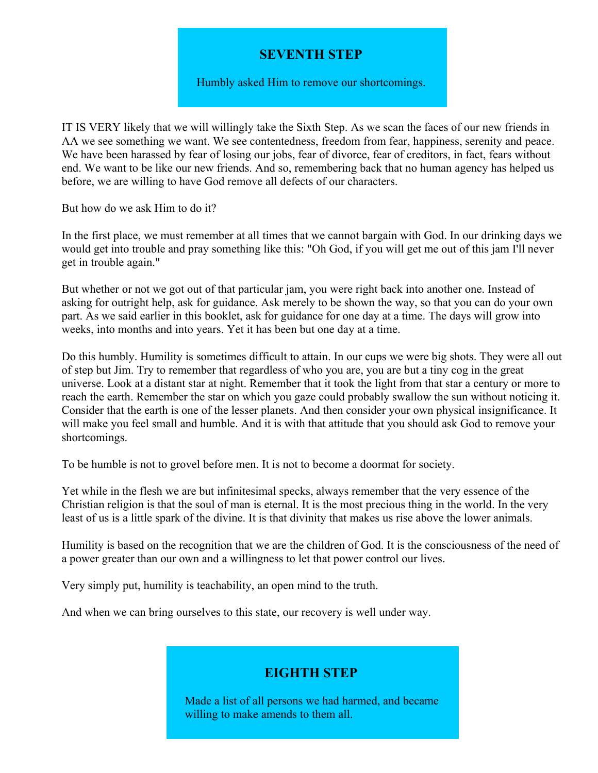#### **SEVENTH STEP**

Humbly asked Him to remove our shortcomings.

IT IS VERY likely that we will willingly take the Sixth Step. As we scan the faces of our new friends in AA we see something we want. We see contentedness, freedom from fear, happiness, serenity and peace. We have been harassed by fear of losing our jobs, fear of divorce, fear of creditors, in fact, fears without end. We want to be like our new friends. And so, remembering back that no human agency has helped us before, we are willing to have God remove all defects of our characters.

But how do we ask Him to do it?

In the first place, we must remember at all times that we cannot bargain with God. In our drinking days we would get into trouble and pray something like this: "Oh God, if you will get me out of this jam I'll never get in trouble again."

But whether or not we got out of that particular jam, you were right back into another one. Instead of asking for outright help, ask for guidance. Ask merely to be shown the way, so that you can do your own part. As we said earlier in this booklet, ask for guidance for one day at a time. The days will grow into weeks, into months and into years. Yet it has been but one day at a time.

Do this humbly. Humility is sometimes difficult to attain. In our cups we were big shots. They were all out of step but Jim. Try to remember that regardless of who you are, you are but a tiny cog in the great universe. Look at a distant star at night. Remember that it took the light from that star a century or more to reach the earth. Remember the star on which you gaze could probably swallow the sun without noticing it. Consider that the earth is one of the lesser planets. And then consider your own physical insignificance. It will make you feel small and humble. And it is with that attitude that you should ask God to remove your shortcomings.

To be humble is not to grovel before men. It is not to become a doormat for society.

Yet while in the flesh we are but infinitesimal specks, always remember that the very essence of the Christian religion is that the soul of man is eternal. It is the most precious thing in the world. In the very least of us is a little spark of the divine. It is that divinity that makes us rise above the lower animals.

Humility is based on the recognition that we are the children of God. It is the consciousness of the need of a power greater than our own and a willingness to let that power control our lives.

Very simply put, humility is teachability, an open mind to the truth.

And when we can bring ourselves to this state, our recovery is well under way.

# **EIGHTH STEP**

Made a list of all persons we had harmed, and became willing to make amends to them all.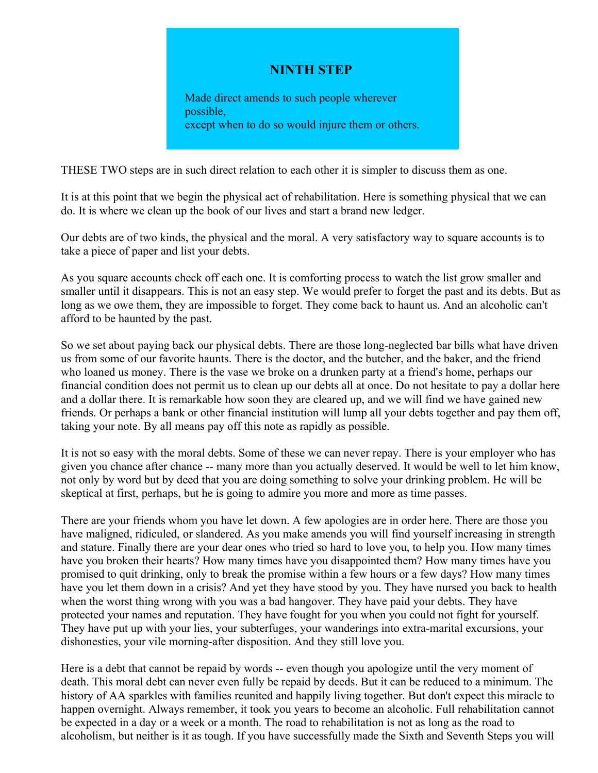## **NINTH STEP**

Made direct amends to such people wherever possible, except when to do so would injure them or others.

THESE TWO steps are in such direct relation to each other it is simpler to discuss them as one.

It is at this point that we begin the physical act of rehabilitation. Here is something physical that we can do. It is where we clean up the book of our lives and start a brand new ledger.

Our debts are of two kinds, the physical and the moral. A very satisfactory way to square accounts is to take a piece of paper and list your debts.

As you square accounts check off each one. It is comforting process to watch the list grow smaller and smaller until it disappears. This is not an easy step. We would prefer to forget the past and its debts. But as long as we owe them, they are impossible to forget. They come back to haunt us. And an alcoholic can't afford to be haunted by the past.

So we set about paying back our physical debts. There are those long-neglected bar bills what have driven us from some of our favorite haunts. There is the doctor, and the butcher, and the baker, and the friend who loaned us money. There is the vase we broke on a drunken party at a friend's home, perhaps our financial condition does not permit us to clean up our debts all at once. Do not hesitate to pay a dollar here and a dollar there. It is remarkable how soon they are cleared up, and we will find we have gained new friends. Or perhaps a bank or other financial institution will lump all your debts together and pay them off, taking your note. By all means pay off this note as rapidly as possible.

It is not so easy with the moral debts. Some of these we can never repay. There is your employer who has given you chance after chance -- many more than you actually deserved. It would be well to let him know, not only by word but by deed that you are doing something to solve your drinking problem. He will be skeptical at first, perhaps, but he is going to admire you more and more as time passes.

There are your friends whom you have let down. A few apologies are in order here. There are those you have maligned, ridiculed, or slandered. As you make amends you will find yourself increasing in strength and stature. Finally there are your dear ones who tried so hard to love you, to help you. How many times have you broken their hearts? How many times have you disappointed them? How many times have you promised to quit drinking, only to break the promise within a few hours or a few days? How many times have you let them down in a crisis? And yet they have stood by you. They have nursed you back to health when the worst thing wrong with you was a bad hangover. They have paid your debts. They have protected your names and reputation. They have fought for you when you could not fight for yourself. They have put up with your lies, your subterfuges, your wanderings into extra-marital excursions, your dishonesties, your vile morning-after disposition. And they still love you.

Here is a debt that cannot be repaid by words -- even though you apologize until the very moment of death. This moral debt can never even fully be repaid by deeds. But it can be reduced to a minimum. The history of AA sparkles with families reunited and happily living together. But don't expect this miracle to happen overnight. Always remember, it took you years to become an alcoholic. Full rehabilitation cannot be expected in a day or a week or a month. The road to rehabilitation is not as long as the road to alcoholism, but neither is it as tough. If you have successfully made the Sixth and Seventh Steps you will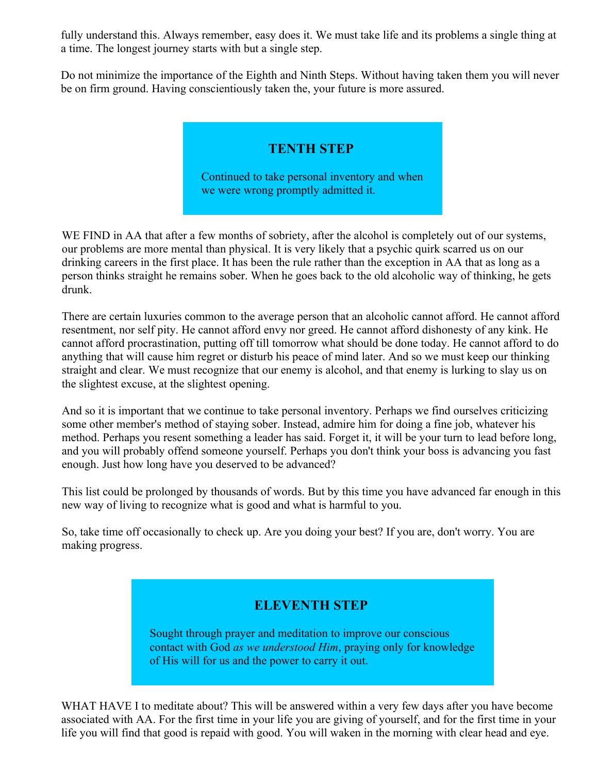fully understand this. Always remember, easy does it. We must take life and its problems a single thing at a time. The longest journey starts with but a single step.

Do not minimize the importance of the Eighth and Ninth Steps. Without having taken them you will never be on firm ground. Having conscientiously taken the, your future is more assured.

## **TENTH STEP**

Continued to take personal inventory and when we were wrong promptly admitted it.

WE FIND in AA that after a few months of sobriety, after the alcohol is completely out of our systems, our problems are more mental than physical. It is very likely that a psychic quirk scarred us on our drinking careers in the first place. It has been the rule rather than the exception in AA that as long as a person thinks straight he remains sober. When he goes back to the old alcoholic way of thinking, he gets drunk.

There are certain luxuries common to the average person that an alcoholic cannot afford. He cannot afford resentment, nor self pity. He cannot afford envy nor greed. He cannot afford dishonesty of any kink. He cannot afford procrastination, putting off till tomorrow what should be done today. He cannot afford to do anything that will cause him regret or disturb his peace of mind later. And so we must keep our thinking straight and clear. We must recognize that our enemy is alcohol, and that enemy is lurking to slay us on the slightest excuse, at the slightest opening.

And so it is important that we continue to take personal inventory. Perhaps we find ourselves criticizing some other member's method of staying sober. Instead, admire him for doing a fine job, whatever his method. Perhaps you resent something a leader has said. Forget it, it will be your turn to lead before long, and you will probably offend someone yourself. Perhaps you don't think your boss is advancing you fast enough. Just how long have you deserved to be advanced?

This list could be prolonged by thousands of words. But by this time you have advanced far enough in this new way of living to recognize what is good and what is harmful to you.

So, take time off occasionally to check up. Are you doing your best? If you are, don't worry. You are making progress.

# **ELEVENTH STEP**

Sought through prayer and meditation to improve our conscious contact with God *as we understood Him*, praying only for knowledge of His will for us and the power to carry it out.

WHAT HAVE I to meditate about? This will be answered within a very few days after you have become associated with AA. For the first time in your life you are giving of yourself, and for the first time in your life you will find that good is repaid with good. You will waken in the morning with clear head and eye.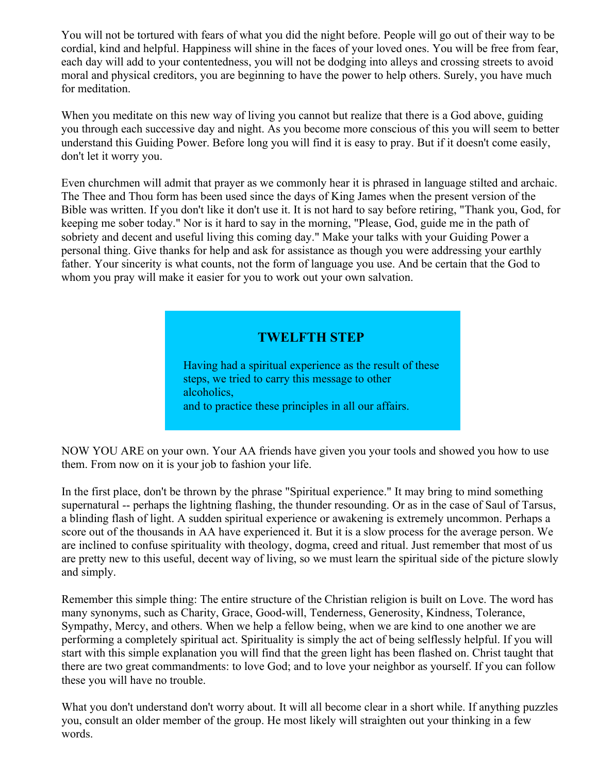You will not be tortured with fears of what you did the night before. People will go out of their way to be cordial, kind and helpful. Happiness will shine in the faces of your loved ones. You will be free from fear, each day will add to your contentedness, you will not be dodging into alleys and crossing streets to avoid moral and physical creditors, you are beginning to have the power to help others. Surely, you have much for meditation.

When you meditate on this new way of living you cannot but realize that there is a God above, guiding you through each successive day and night. As you become more conscious of this you will seem to better understand this Guiding Power. Before long you will find it is easy to pray. But if it doesn't come easily, don't let it worry you.

Even churchmen will admit that prayer as we commonly hear it is phrased in language stilted and archaic. The Thee and Thou form has been used since the days of King James when the present version of the Bible was written. If you don't like it don't use it. It is not hard to say before retiring, "Thank you, God, for keeping me sober today." Nor is it hard to say in the morning, "Please, God, guide me in the path of sobriety and decent and useful living this coming day." Make your talks with your Guiding Power a personal thing. Give thanks for help and ask for assistance as though you were addressing your earthly father. Your sincerity is what counts, not the form of language you use. And be certain that the God to whom you pray will make it easier for you to work out your own salvation.

#### **TWELFTH STEP**

Having had a spiritual experience as the result of these steps, we tried to carry this message to other alcoholics, and to practice these principles in all our affairs.

NOW YOU ARE on your own. Your AA friends have given you your tools and showed you how to use them. From now on it is your job to fashion your life.

In the first place, don't be thrown by the phrase "Spiritual experience." It may bring to mind something supernatural -- perhaps the lightning flashing, the thunder resounding. Or as in the case of Saul of Tarsus, a blinding flash of light. A sudden spiritual experience or awakening is extremely uncommon. Perhaps a score out of the thousands in AA have experienced it. But it is a slow process for the average person. We are inclined to confuse spirituality with theology, dogma, creed and ritual. Just remember that most of us are pretty new to this useful, decent way of living, so we must learn the spiritual side of the picture slowly and simply.

Remember this simple thing: The entire structure of the Christian religion is built on Love. The word has many synonyms, such as Charity, Grace, Good-will, Tenderness, Generosity, Kindness, Tolerance, Sympathy, Mercy, and others. When we help a fellow being, when we are kind to one another we are performing a completely spiritual act. Spirituality is simply the act of being selflessly helpful. If you will start with this simple explanation you will find that the green light has been flashed on. Christ taught that there are two great commandments: to love God; and to love your neighbor as yourself. If you can follow these you will have no trouble.

What you don't understand don't worry about. It will all become clear in a short while. If anything puzzles you, consult an older member of the group. He most likely will straighten out your thinking in a few words.